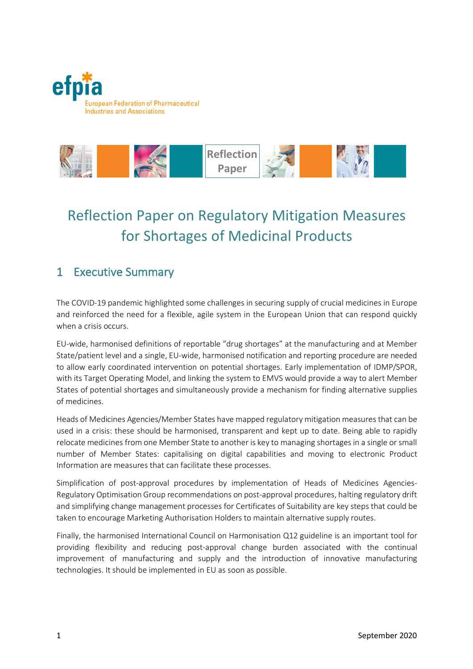



# Reflection Paper on Regulatory Mitigation Measures for Shortages of Medicinal Products

## 1 Executive Summary

The COVID-19 pandemic highlighted some challenges in securing supply of crucial medicines in Europe and reinforced the need for a flexible, agile system in the European Union that can respond quickly when a crisis occurs.

EU-wide, harmonised definitions of reportable "drug shortages" at the manufacturing and at Member State/patient level and a single, EU-wide, harmonised notification and reporting procedure are needed to allow early coordinated intervention on potential shortages. Early implementation of IDMP/SPOR, with its Target Operating Model, and linking the system to EMVS would provide a way to alert Member States of potential shortages and simultaneously provide a mechanism for finding alternative supplies of medicines.

Heads of Medicines Agencies/Member States have mapped regulatory mitigation measures that can be used in a crisis: these should be harmonised, transparent and kept up to date. Being able to rapidly relocate medicines from one Member State to another is key to managing shortages in a single or small number of Member States: capitalising on digital capabilities and moving to electronic Product Information are measures that can facilitate these processes.

Simplification of post-approval procedures by implementation of Heads of Medicines Agencies-Regulatory Optimisation Group recommendations on post-approval procedures, halting regulatory drift and simplifying change management processes for Certificates of Suitability are key steps that could be taken to encourage Marketing Authorisation Holders to maintain alternative supply routes.

Finally, the harmonised International Council on Harmonisation Q12 guideline is an important tool for providing flexibility and reducing post-approval change burden associated with the continual improvement of manufacturing and supply and the introduction of innovative manufacturing technologies. It should be implemented in EU as soon as possible.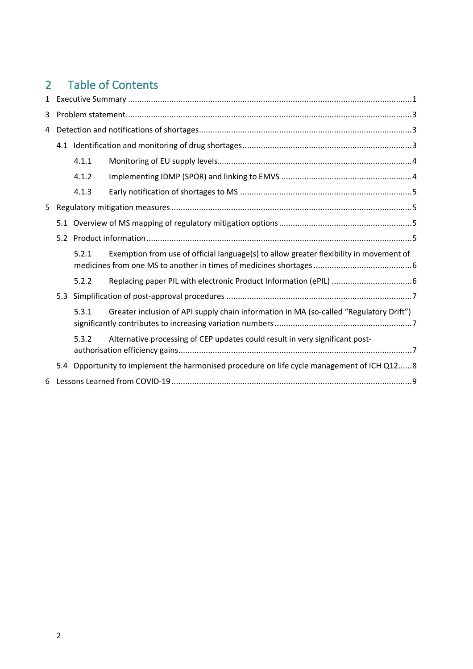# 2 Table of Contents

| $\mathbf{1}$ |  |                                                                                            |                                                                                        |  |
|--------------|--|--------------------------------------------------------------------------------------------|----------------------------------------------------------------------------------------|--|
| 3            |  |                                                                                            |                                                                                        |  |
| 4            |  |                                                                                            |                                                                                        |  |
|              |  |                                                                                            |                                                                                        |  |
|              |  | 4.1.1                                                                                      |                                                                                        |  |
|              |  | 4.1.2                                                                                      |                                                                                        |  |
|              |  | 4.1.3                                                                                      |                                                                                        |  |
| 5            |  |                                                                                            |                                                                                        |  |
|              |  |                                                                                            |                                                                                        |  |
|              |  |                                                                                            |                                                                                        |  |
|              |  | 5.2.1                                                                                      | Exemption from use of official language(s) to allow greater flexibility in movement of |  |
|              |  | 5.2.2                                                                                      |                                                                                        |  |
|              |  |                                                                                            |                                                                                        |  |
|              |  | 5.3.1                                                                                      | Greater inclusion of API supply chain information in MA (so-called "Regulatory Drift") |  |
|              |  | 5.3.2                                                                                      | Alternative processing of CEP updates could result in very significant post-           |  |
|              |  | 5.4 Opportunity to implement the harmonised procedure on life cycle management of ICH Q128 |                                                                                        |  |
| 6            |  |                                                                                            |                                                                                        |  |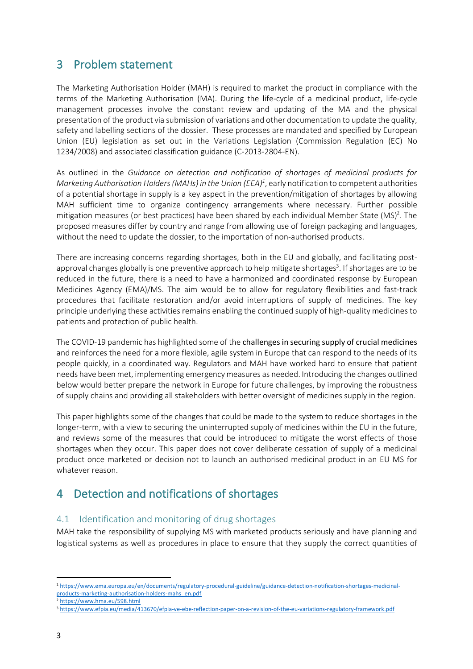## 3 Problem statement

The Marketing Authorisation Holder (MAH) is required to market the product in compliance with the terms of the Marketing Authorisation (MA). During the life-cycle of a medicinal product, life-cycle management processes involve the constant review and updating of the MA and the physical presentation of the product via submission of variations and other documentation to update the quality, safety and labelling sections of the dossier. These processes are mandated and specified by European Union (EU) legislation as set out in the Variations Legislation (Commission Regulation (EC) No 1234/2008) and associated classification guidance (C-2013-2804-EN).

As outlined in the *Guidance on detection and notification of shortages of medicinal products for*  Marketing Authorisation Holders (MAHs) in the Union (EEA)<sup>1</sup>, early notification to competent authorities of a potential shortage in supply is a key aspect in the prevention/mitigation of shortages by allowing MAH sufficient time to organize contingency arrangements where necessary. Further possible mitigation measures (or best practices) have been shared by each individual Member State (MS)<sup>2</sup>. The proposed measures differ by country and range from allowing use of foreign packaging and languages, without the need to update the dossier, to the importation of non-authorised products.

There are increasing concerns regarding shortages, both in the EU and globally, and facilitating postapproval changes globally is one preventive approach to help mitigate shortages<sup>3</sup>. If shortages are to be reduced in the future, there is a need to have a harmonized and coordinated response by European Medicines Agency (EMA)/MS. The aim would be to allow for regulatory flexibilities and fast-track procedures that facilitate restoration and/or avoid interruptions of supply of medicines. The key principle underlying these activities remains enabling the continued supply of high-quality medicines to patients and protection of public health.

The COVID-19 pandemic has highlighted some of the challenges in securing supply of crucial medicines and reinforces the need for a more flexible, agile system in Europe that can respond to the needs of its people quickly, in a coordinated way. Regulators and MAH have worked hard to ensure that patient needs have been met, implementing emergency measures as needed. Introducing the changes outlined below would better prepare the network in Europe for future challenges, by improving the robustness of supply chains and providing all stakeholders with better oversight of medicines supply in the region.

This paper highlights some of the changes that could be made to the system to reduce shortages in the longer-term, with a view to securing the uninterrupted supply of medicines within the EU in the future, and reviews some of the measures that could be introduced to mitigate the worst effects of those shortages when they occur. This paper does not cover deliberate cessation of supply of a medicinal product once marketed or decision not to launch an authorised medicinal product in an EU MS for whatever reason.

# 4 Detection and notifications of shortages

### 4.1 Identification and monitoring of drug shortages

MAH take the responsibility of supplying MS with marketed products seriously and have planning and logistical systems as well as procedures in place to ensure that they supply the correct quantities of

 <sup>1</sup> https://www.ema.europa.eu/en/documents/regulatory-procedural-guideline/guidance-detection-notification-shortages-medicinalproducts-marketing-authorisation-holders-mahs\_en.pdf

<sup>2</sup> https://www.hma.eu/598.html

<sup>3</sup> https://www.efpia.eu/media/413670/efpia-ve-ebe-reflection-paper-on-a-revision-of-the-eu-variations-regulatory-framework.pdf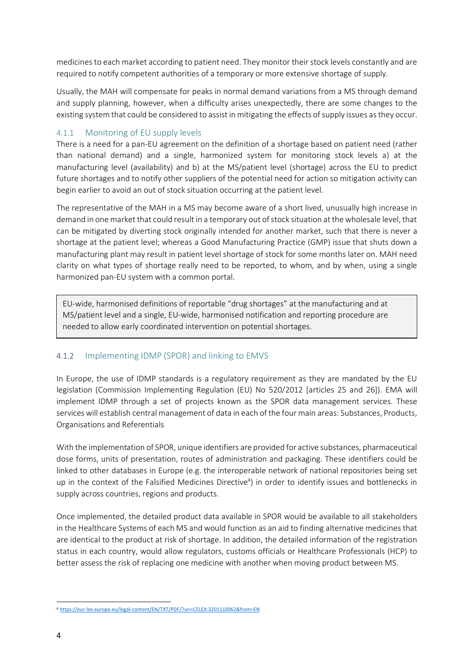medicines to each market according to patient need. They monitor their stock levels constantly and are required to notify competent authorities of a temporary or more extensive shortage of supply.

Usually, the MAH will compensate for peaks in normal demand variations from a MS through demand and supply planning, however, when a difficulty arises unexpectedly, there are some changes to the existing system that could be considered to assist in mitigating the effects of supply issues asthey occur.

#### 4.1.1 Monitoring of EU supply levels

There is a need for a pan-EU agreement on the definition of a shortage based on patient need (rather than national demand) and a single, harmonized system for monitoring stock levels a) at the manufacturing level (availability) and b) at the MS/patient level (shortage) across the EU to predict future shortages and to notify other suppliers of the potential need for action so mitigation activity can begin earlier to avoid an out of stock situation occurring at the patient level.

The representative of the MAH in a MS may become aware of a short lived, unusually high increase in demand in one market that could result in a temporary out of stock situation at the wholesale level, that can be mitigated by diverting stock originally intended for another market, such that there is never a shortage at the patient level; whereas a Good Manufacturing Practice (GMP) issue that shuts down a manufacturing plant may result in patient level shortage of stock for some months later on. MAH need clarity on what types of shortage really need to be reported, to whom, and by when, using a single harmonized pan-EU system with a common portal.

EU-wide, harmonised definitions of reportable "drug shortages" at the manufacturing and at MS/patient level and a single, EU-wide, harmonised notification and reporting procedure are needed to allow early coordinated intervention on potential shortages.

#### 4.1.2 Implementing IDMP (SPOR) and linking to EMVS

In Europe, the use of IDMP standards is a regulatory requirement as they are mandated by the EU legislation (Commission Implementing Regulation (EU) No 520/2012 [articles 25 and 26]). EMA will implement IDMP through a set of projects known as the SPOR data management services. These services will establish central management of data in each of the four main areas: Substances, Products, Organisations and Referentials

With the implementation of SPOR, unique identifiers are provided for active substances, pharmaceutical dose forms, units of presentation, routes of administration and packaging. These identifiers could be linked to other databases in Europe (e.g. the interoperable network of national repositories being set up in the context of the Falsified Medicines Directive<sup>4</sup>) in order to identify issues and bottlenecks in supply across countries, regions and products.

Once implemented, the detailed product data available in SPOR would be available to all stakeholders in the Healthcare Systems of each MS and would function as an aid to finding alternative medicines that are identical to the product at risk of shortage. In addition, the detailed information of the registration status in each country, would allow regulators, customs officials or Healthcare Professionals (HCP) to better assess the risk of replacing one medicine with another when moving product between MS.

 <sup>4</sup> https://eur-lex.europa.eu/legal-content/EN/TXT/PDF/?uri=CELEX:32011L0062&from=EN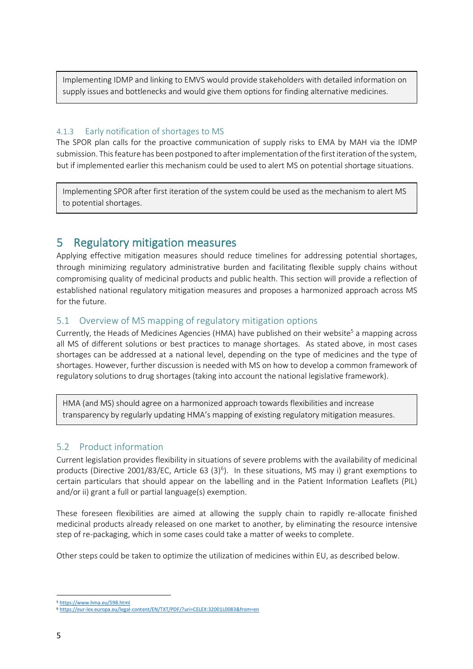Implementing IDMP and linking to EMVS would provide stakeholders with detailed information on supply issues and bottlenecks and would give them options for finding alternative medicines.

#### 4.1.3 Early notification of shortages to MS

The SPOR plan calls for the proactive communication of supply risks to EMA by MAH via the IDMP submission. This feature has been postponed to after implementation of the first iteration of the system, but if implemented earlier this mechanism could be used to alert MS on potential shortage situations.

Implementing SPOR after first iteration of the system could be used as the mechanism to alert MS to potential shortages.

5 Regulatory mitigation measures<br>Applying effective mitigation measures should reduce timelines for addressing potential shortages, through minimizing regulatory administrative burden and facilitating flexible supply chains without compromising quality of medicinal products and public health. This section will provide a reflection of established national regulatory mitigation measures and proposes a harmonized approach across MS for the future.

#### 5.1 Overview of MS mapping of regulatory mitigation options

Currently, the Heads of Medicines Agencies (HMA) have published on their website<sup>5</sup> a mapping across all MS of different solutions or best practices to manage shortages. As stated above, in most cases shortages can be addressed at a national level, depending on the type of medicines and the type of shortages. However, further discussion is needed with MS on how to develop a common framework of regulatory solutions to drug shortages (taking into account the national legislative framework).

HMA (and MS) should agree on a harmonized approach towards flexibilities and increase transparency by regularly updating HMA's mapping of existing regulatory mitigation measures.

### 5.2 Product information

Current legislation provides flexibility in situations of severe problems with the availability of medicinal products (Directive 2001/83/EC, Article 63 (3)<sup>6</sup>). In these situations, MS may i) grant exemptions to certain particulars that should appear on the labelling and in the Patient Information Leaflets (PIL) and/or ii) grant a full or partial language(s) exemption.

These foreseen flexibilities are aimed at allowing the supply chain to rapidly re-allocate finished medicinal products already released on one market to another, by eliminating the resource intensive step of re-packaging, which in some cases could take a matter of weeks to complete.

Other steps could be taken to optimize the utilization of medicines within EU, as described below.

 <sup>5</sup> https://www.hma.eu/598.html

<sup>6</sup> https://eur-lex.europa.eu/legal-content/EN/TXT/PDF/?uri=CELEX:32001L0083&from=en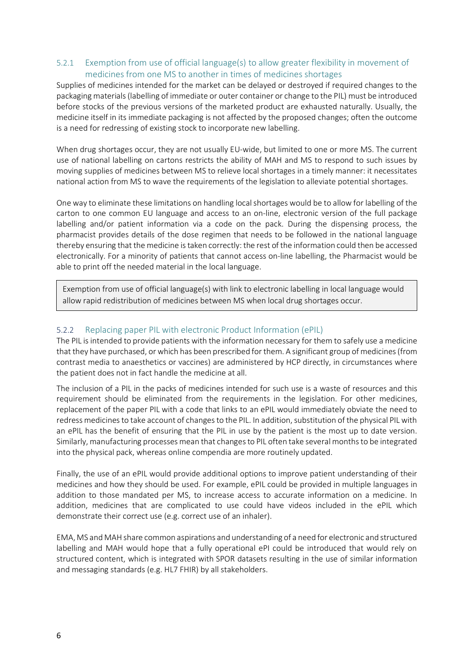#### 5.2.1 Exemption from use of official language(s) to allow greater flexibility in movement of medicines from one MS to another in times of medicines shortages

Supplies of medicines intended for the market can be delayed or destroyed if required changes to the packaging materials (labelling of immediate or outer container or change to the PIL) must be introduced before stocks of the previous versions of the marketed product are exhausted naturally. Usually, the medicine itself in its immediate packaging is not affected by the proposed changes; often the outcome is a need for redressing of existing stock to incorporate new labelling.

When drug shortages occur, they are not usually EU-wide, but limited to one or more MS. The current use of national labelling on cartons restricts the ability of MAH and MS to respond to such issues by moving supplies of medicines between MS to relieve local shortages in a timely manner: it necessitates national action from MS to wave the requirements of the legislation to alleviate potential shortages.

One way to eliminate these limitations on handling local shortages would be to allow for labelling of the carton to one common EU language and access to an on-line, electronic version of the full package labelling and/or patient information via a code on the pack. During the dispensing process, the pharmacist provides details of the dose regimen that needs to be followed in the national language thereby ensuring that the medicine is taken correctly: the rest of the information could then be accessed electronically. For a minority of patients that cannot access on-line labelling, the Pharmacist would be able to print off the needed material in the local language.

Exemption from use of official language(s) with link to electronic labelling in local language would allow rapid redistribution of medicines between MS when local drug shortages occur.

#### 5.2.2 Replacing paper PIL with electronic Product Information (ePIL)

The PIL is intended to provide patients with the information necessary for them to safely use a medicine that they have purchased, or which has been prescribed for them. A significant group of medicines (from contrast media to anaesthetics or vaccines) are administered by HCP directly, in circumstances where the patient does not in fact handle the medicine at all.

The inclusion of a PIL in the packs of medicines intended for such use is a waste of resources and this requirement should be eliminated from the requirements in the legislation. For other medicines, replacement of the paper PIL with a code that links to an ePIL would immediately obviate the need to redress medicines to take account of changes to the PIL. In addition, substitution of the physical PIL with an ePIL has the benefit of ensuring that the PIL in use by the patient is the most up to date version. Similarly, manufacturing processes mean that changes to PIL often take several months to be integrated into the physical pack, whereas online compendia are more routinely updated.

Finally, the use of an ePIL would provide additional options to improve patient understanding of their medicines and how they should be used. For example, ePIL could be provided in multiple languages in addition to those mandated per MS, to increase access to accurate information on a medicine. In addition, medicines that are complicated to use could have videos included in the ePIL which demonstrate their correct use (e.g. correct use of an inhaler).

EMA, MS and MAH share common aspirations and understanding of a need for electronic and structured labelling and MAH would hope that a fully operational ePI could be introduced that would rely on structured content, which is integrated with SPOR datasets resulting in the use of similar information and messaging standards (e.g. HL7 FHIR) by all stakeholders.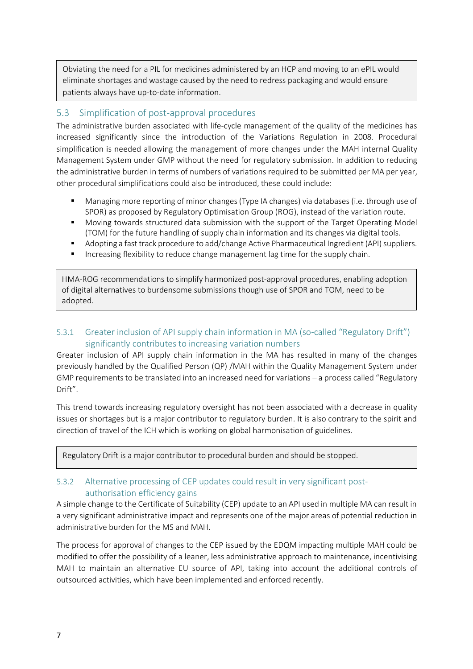Obviating the need for a PIL for medicines administered by an HCP and moving to an ePIL would eliminate shortages and wastage caused by the need to redress packaging and would ensure patients always have up-to-date information.

#### 5.3 Simplification of post-approval procedures

The administrative burden associated with life-cycle management of the quality of the medicines has increased significantly since the introduction of the Variations Regulation in 2008. Procedural simplification is needed allowing the management of more changes under the MAH internal Quality Management System under GMP without the need for regulatory submission. In addition to reducing the administrative burden in terms of numbers of variations required to be submitted per MA per year, other procedural simplifications could also be introduced, these could include:

- Managing more reporting of minor changes (Type IA changes) via databases (i.e. through use of SPOR) as proposed by Regulatory Optimisation Group (ROG), instead of the variation route.
- Moving towards structured data submission with the support of the Target Operating Model (TOM) for the future handling of supply chain information and its changes via digital tools.
- **•** Adopting a fast track procedure to add/change Active Pharmaceutical Ingredient (API) suppliers.
- Increasing flexibility to reduce change management lag time for the supply chain.

HMA-ROG recommendations to simplify harmonized post-approval procedures, enabling adoption of digital alternatives to burdensome submissions though use of SPOR and TOM, need to be adopted.

#### 5.3.1 Greater inclusion of API supply chain information in MA (so-called "Regulatory Drift") significantly contributes to increasing variation numbers

Greater inclusion of API supply chain information in the MA has resulted in many of the changes previously handled by the Qualified Person (QP) /MAH within the Quality Management System under GMP requirements to be translated into an increased need for variations – a process called "Regulatory Drift".

This trend towards increasing regulatory oversight has not been associated with a decrease in quality issues or shortages but is a major contributor to regulatory burden. It is also contrary to the spirit and direction of travel of the ICH which is working on global harmonisation of guidelines.

Regulatory Drift is a major contributor to procedural burden and should be stopped.

#### 5.3.2 Alternative processing of CEP updates could result in very significant postauthorisation efficiency gains

A simple change to the Certificate of Suitability (CEP) update to an API used in multiple MA can result in a very significant administrative impact and represents one of the major areas of potential reduction in administrative burden for the MS and MAH.

The process for approval of changes to the CEP issued by the EDQM impacting multiple MAH could be modified to offer the possibility of a leaner, less administrative approach to maintenance, incentivising MAH to maintain an alternative EU source of API, taking into account the additional controls of outsourced activities, which have been implemented and enforced recently.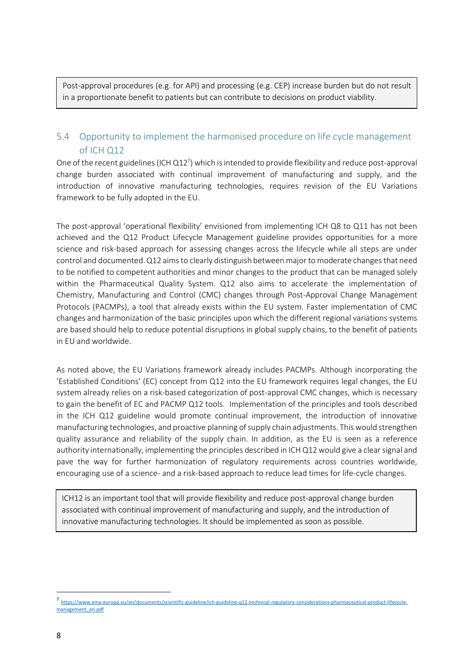Post-approval procedures (e.g. for API) and processing (e.g. CEP) increase burden but do not result in a proportionate benefit to patients but can contribute to decisions on product viability.

### 5.4 Opportunity to implement the harmonised procedure on life cycle management of ICH Q12

One of the recent guidelines (ICH Q12<sup>7</sup>) which is intended to provide flexibility and reduce post-approval change burden associated with continual improvement of manufacturing and supply, and the introduction of innovative manufacturing technologies, requires revision of the EU Variations framework to be fully adopted in the EU.

The post-approval 'operational flexibility' envisioned from implementing ICH Q8 to Q11 has not been achieved and the Q12 Product Lifecycle Management guideline provides opportunities for a more science and risk-based approach for assessing changes across the lifecycle while all steps are under control and documented.Q12 aims to clearly distinguish between major to moderate changes that need to be notified to competent authorities and minor changes to the product that can be managed solely within the Pharmaceutical Quality System. Q12 also aims to accelerate the implementation of Chemistry, Manufacturing and Control (CMC) changes through Post-Approval Change Management Protocols (PACMPs), a tool that already exists within the EU system. Faster implementation of CMC changes and harmonization of the basic principles upon which the different regional variations systems are based should help to reduce potential disruptions in global supply chains, to the benefit of patients in EU and worldwide.

As noted above, the EU Variations framework already includes PACMPs. Although incorporating the 'Established Conditions' (EC) concept from Q12 into the EU framework requires legal changes, the EU system already relies on a risk-based categorization of post-approval CMC changes, which is necessary to gain the benefit of EC and PACMP Q12 tools. Implementation of the principles and tools described in the ICH Q12 guideline would promote continual improvement, the introduction of innovative manufacturing technologies, and proactive planning of supply chain adjustments. This would strengthen quality assurance and reliability of the supply chain. In addition, as the EU is seen as a reference authority internationally, implementing the principles described in ICH Q12 would give a clear signal and pave the way for further harmonization of regulatory requirements across countries worldwide, encouraging use of a science- and a risk-based approach to reduce lead times for life-cycle changes.

ICH12 is an important tool that will provide flexibility and reduce post-approval change burden associated with continual improvement of manufacturing and supply, and the introduction of innovative manufacturing technologies. It should be implemented as soon as possible.

 <sup>7</sup> https://www.ema.europa.eu/en/documents/scientific-guideline/ich-guideline-q12-technical-regulatory-considerations-pharmaceutical-product-lifecyclemanagement\_en.pdf